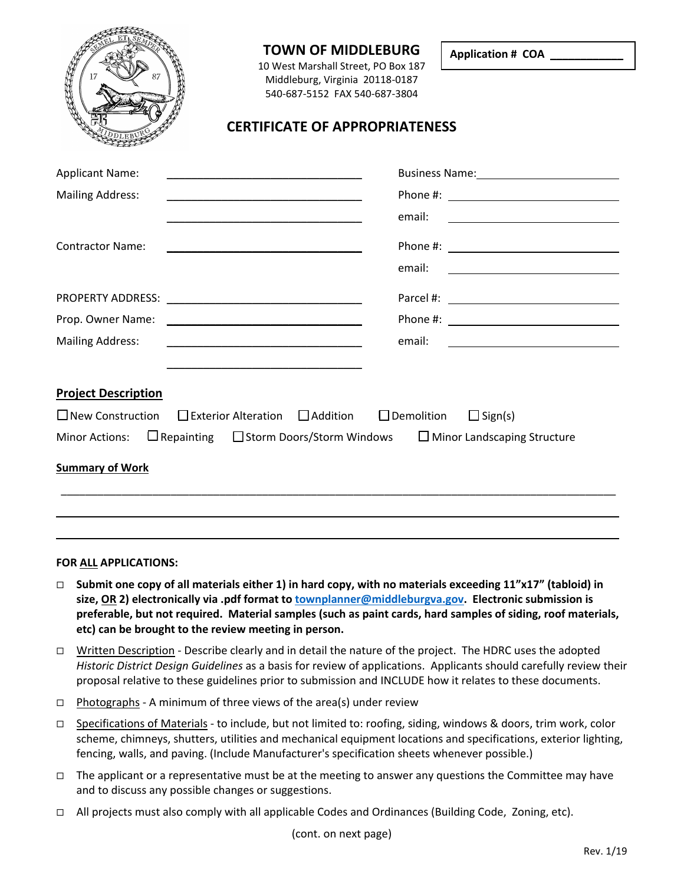

# **TOWN OF MIDDLEBURG**

10 West Marshall Street, PO Box 187 Middleburg, Virginia 20118-0187 540-687-5152 FAX 540-687-3804

**Application # COA \_\_\_\_\_\_\_\_\_\_\_\_**

1

# **CERTIFICATE OF APPROPRIATENESS**

| <b>Applicant Name:</b><br><u> 1990 - Johann John Stone, markin amerikan basar dan berkembang dan berkembang dan berkembang dan berkembang da</u> |                                                                                                                                  |
|--------------------------------------------------------------------------------------------------------------------------------------------------|----------------------------------------------------------------------------------------------------------------------------------|
| <b>Mailing Address:</b>                                                                                                                          |                                                                                                                                  |
|                                                                                                                                                  | email:                                                                                                                           |
| <b>Contractor Name:</b>                                                                                                                          |                                                                                                                                  |
|                                                                                                                                                  | email:<br><u> Alexandria de la contentación de la contentación de la contentación de la contentación de la contentación de l</u> |
|                                                                                                                                                  |                                                                                                                                  |
|                                                                                                                                                  |                                                                                                                                  |
| <b>Mailing Address:</b>                                                                                                                          |                                                                                                                                  |
|                                                                                                                                                  |                                                                                                                                  |
| <b>Project Description</b>                                                                                                                       |                                                                                                                                  |
| $\Box$ New Construction $\Box$ Exterior Alteration $\Box$ Addition $\Box$ Demolition                                                             | $\Box$ Sign(s)                                                                                                                   |
| Minor Actions: $\Box$ Repainting $\Box$ Storm Doors/Storm Windows $\Box$ Minor Landscaping Structure                                             |                                                                                                                                  |
| <b>Summary of Work</b>                                                                                                                           |                                                                                                                                  |
|                                                                                                                                                  |                                                                                                                                  |

#### **FOR ALL APPLICATIONS:**

- **Submit one copy of all materials either 1) in hard copy, with no materials exceeding 11"x17" (tabloid) in size, OR 2) electronically via .pdf format to [townplanner@middleburgva.gov.](mailto:townplanner@middleburgva.gov) Electronic submission is preferable, but not required. Material samples (such as paint cards, hard samples of siding, roof materials, etc) can be brought to the review meeting in person.**
- $\Box$  Written Description Describe clearly and in detail the nature of the project. The HDRC uses the adopted *Historic District Design Guidelines* as a basis for review of applications. Applicants should carefully review their proposal relative to these guidelines prior to submission and INCLUDE how it relates to these documents.
- $\Box$  Photographs A minimum of three views of the area(s) under review
- □ Specifications of Materials to include, but not limited to: roofing, siding, windows & doors, trim work, color scheme, chimneys, shutters, utilities and mechanical equipment locations and specifications, exterior lighting, fencing, walls, and paving. (Include Manufacturer's specification sheets whenever possible.)
- $\Box$  The applicant or a representative must be at the meeting to answer any questions the Committee may have and to discuss any possible changes or suggestions.
- $\Box$  All projects must also comply with all applicable Codes and Ordinances (Building Code, Zoning, etc).